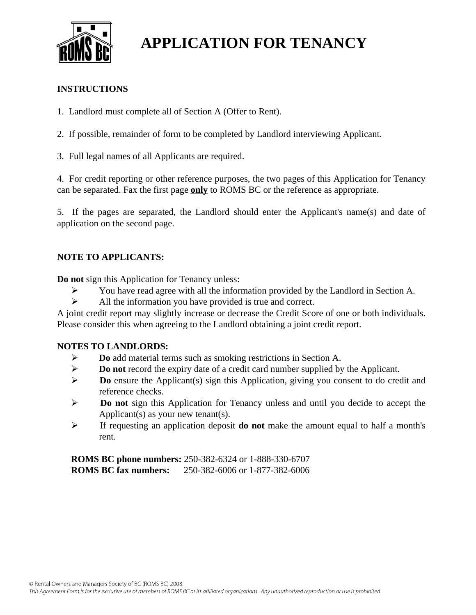

# **APPLICATION FOR TENANCY**

### **INSTRUCTIONS**

- 1. Landlord must complete all of Section A (Offer to Rent).
- 2. If possible, remainder of form to be completed by Landlord interviewing Applicant.
- 3. Full legal names of all Applicants are required.

4. For credit reporting or other reference purposes, the two pages of this Application for Tenancy can be separated. Fax the first page **only** to ROMS BC or the reference as appropriate.

5. If the pages are separated, the Landlord should enter the Applicant's name(s) and date of application on the second page.

## **NOTE TO APPLICANTS:**

**Do not** sign this Application for Tenancy unless:

- You have read agree with all the information provided by the Landlord in Section A.
- $\triangleright$  All the information you have provided is true and correct.

A joint credit report may slightly increase or decrease the Credit Score of one or both individuals. Please consider this when agreeing to the Landlord obtaining a joint credit report.

#### **NOTES TO LANDLORDS:**

- **Do** add material terms such as smoking restrictions in Section A.
- **Do not** record the expiry date of a credit card number supplied by the Applicant.
- **Do** ensure the Applicant(s) sign this Application, giving you consent to do credit and reference checks.
- **Do not** sign this Application for Tenancy unless and until you decide to accept the Applicant(s) as your new tenant(s).
- If requesting an application deposit **do not** make the amount equal to half a month's rent.

**ROMS BC phone numbers:** 250-382-6324 or 1-888-330-6707 **ROMS BC fax numbers:** 250-382-6006 or 1-877-382-6006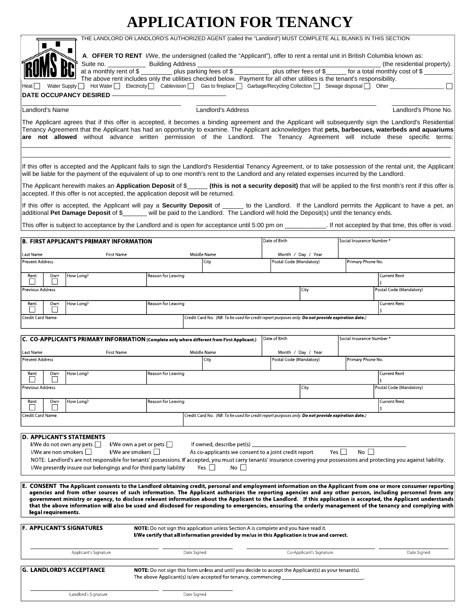# **APPLICATION FOR TENANCY**



| G. LANDLORD'S ACCEPTANCE | <b>NOTE:</b> Do not sign this form unless and until you decide to accept the Applicant(s) as your tenant(s). |  |  |  |  |  |  |  |
|--------------------------|--------------------------------------------------------------------------------------------------------------|--|--|--|--|--|--|--|
|                          |                                                                                                              |  |  |  |  |  |  |  |
|                          |                                                                                                              |  |  |  |  |  |  |  |
| Landlord's Signature     | Date Signed                                                                                                  |  |  |  |  |  |  |  |